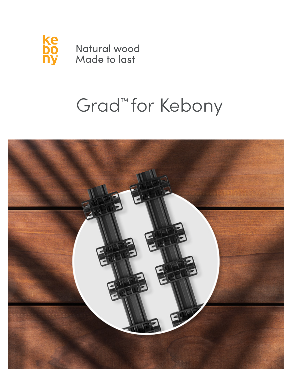

# Grad<sup>™</sup> for Kebony

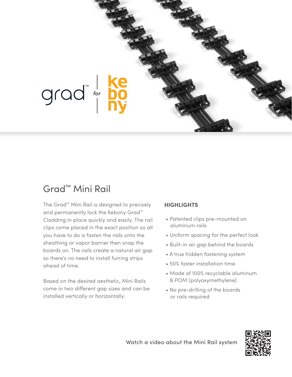

#### Grad™ Mini Rail

The Grad™ Mini Rail is designed to precisely and permanently lock the Kebony Grad™ Cladding in place quickly and easily. The rail clips come placed in the exact position so all you have to do is fasten the rails onto the sheathing or vapor barrier then snap the boards on. The rails create a natural air gap so there's no need to install furring strips ahead of time.

Based on the desired aesthetic, Mini Rails come in two different gap sizes and can be installed vertically or horizontally.

#### **HIGHLIGHTS**

- Patented clips pre-mounted on aluminum rails
- Uniform spacing for the perfect look
- Built-in air gap behind the boards
- A true hidden fastening system
- 50% faster installation time
- Made of 100% recyclable aluminum & POM (polyoxymethylene)
- No pre-drilling of the boards or rails required



Watch a video about the Mini Rail system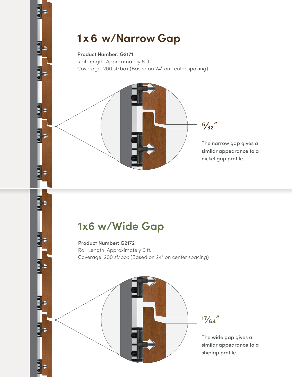## **1x6 w/Narrow Gap**

#### **Product Number: G2171**

Rail Length: Approximately 6 ft. Coverage: 200 sf/box (Based on 24" on center spacing)

> The narrow gap gives a similar appearance to a nickel gap profile.

**5⁄32"**

## **1x6 w/Wide Gap**

**Product Number: G2172** Rail Length: Approximately 6 ft. Coverage: 200 sf/box (Based on 24" on center spacing)



The wide gap gives a similar appearance to a shiplap profile.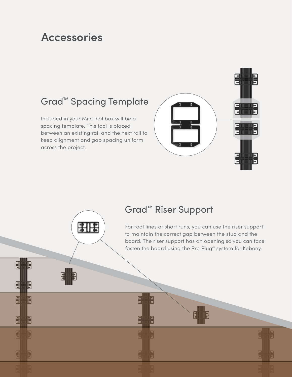## **Accessories**

### Grad™ Spacing Template

Included in your Mini Rail box will be a spacing template. This tool is placed between an existing rail and the next rail to keep alignment and gap spacing uniform across the project.



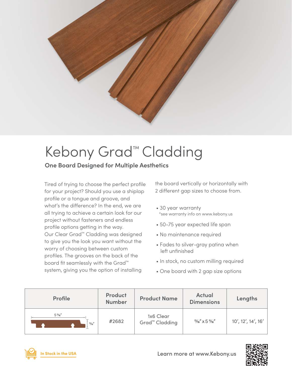

## Kebony Grad™ Cladding

#### **One Board Designed for Multiple Aesthetics**

Tired of trying to choose the perfect profile for your project? Should you use a shiplap profile or a tongue and groove, and what's the difference? In the end, we are all trying to achieve a certain look for our project without fasteners and endless profile options getting in the way. Our Clear Grad™ Cladding was designed to give you the look you want without the worry of choosing between custom profiles. The grooves on the back of the board fit seamlessly with the Grad™ system, giving you the option of installing

the board vertically or horizontally with 2 different gap sizes to choose from.

- 30 year warranty \*see warranty info on www.kebony.us
- 50-75 year expected life span
- No maintenance required
- Fades to silver-gray patina when left unfinished
- In stock, no custom milling required
- One board with 2 gap size options

| Profile                    | Product<br><b>Number</b> | <b>Product Name</b>                     | <b>Actual</b><br><b>Dimensions</b> | Lengths            |
|----------------------------|--------------------------|-----------------------------------------|------------------------------------|--------------------|
| $5\%''$<br>$\frac{13}{16}$ | #2682                    | 1x6 Clear<br>Grad <sup>™</sup> Cladding | $\frac{13}{16}$ X 5 $\frac{1}{16}$ | 10', 12', 14', 16' |